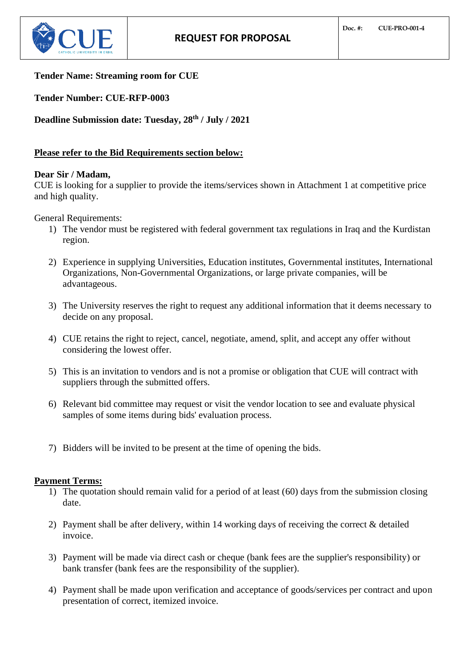

# **Tender Name: Streaming room for CUE**

**Tender Number: CUE-RFP-0003**

**Deadline Submission date: Tuesday, 28 th / July / 2021**

# **Please refer to the Bid Requirements section below:**

# **Dear Sir / Madam,**

CUE is looking for a supplier to provide the items/services shown in Attachment 1 at competitive price and high quality.

General Requirements:

- 1) The vendor must be registered with federal government tax regulations in Iraq and the Kurdistan region.
- 2) Experience in supplying Universities, Education institutes, Governmental institutes, International Organizations, Non-Governmental Organizations, or large private companies, will be advantageous.
- 3) The University reserves the right to request any additional information that it deems necessary to decide on any proposal.
- 4) CUE retains the right to reject, cancel, negotiate, amend, split, and accept any offer without considering the lowest offer.
- 5) This is an invitation to vendors and is not a promise or obligation that CUE will contract with suppliers through the submitted offers.
- 6) Relevant bid committee may request or visit the vendor location to see and evaluate physical samples of some items during bids' evaluation process.
- 7) Bidders will be invited to be present at the time of opening the bids.

# **Payment Terms:**

- 1) The quotation should remain valid for a period of at least (60) days from the submission closing date.
- 2) Payment shall be after delivery, within 14 working days of receiving the correct & detailed invoice.
- 3) Payment will be made via direct cash or cheque (bank fees are the supplier's responsibility) or bank transfer (bank fees are the responsibility of the supplier).
- 4) Payment shall be made upon verification and acceptance of goods/services per contract and upon presentation of correct, itemized invoice.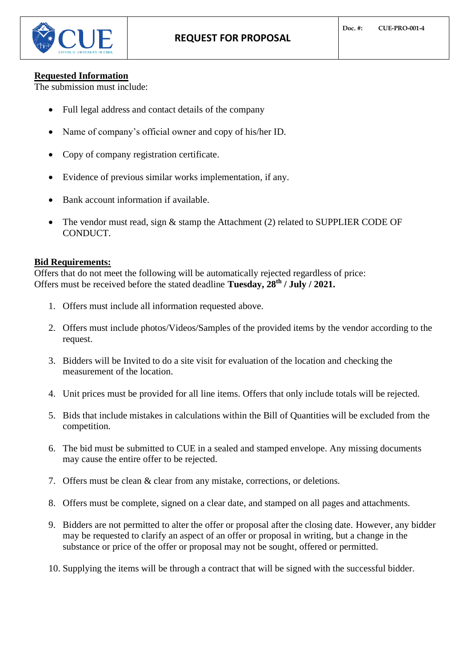

#### **Requested Information**

The submission must include:

- Full legal address and contact details of the company
- Name of company's official owner and copy of his/her ID.
- Copy of company registration certificate.
- Evidence of previous similar works implementation, if any.
- Bank account information if available.
- The vendor must read, sign  $&$  stamp the Attachment (2) related to SUPPLIER CODE OF CONDUCT.

#### **Bid Requirements:**

Offers that do not meet the following will be automatically rejected regardless of price: Offers must be received before the stated deadline **Tuesday, 28th / July / 2021.**

- 1. Offers must include all information requested above.
- 2. Offers must include photos/Videos/Samples of the provided items by the vendor according to the request.
- 3. Bidders will be Invited to do a site visit for evaluation of the location and checking the measurement of the location.
- 4. Unit prices must be provided for all line items. Offers that only include totals will be rejected.
- 5. Bids that include mistakes in calculations within the Bill of Quantities will be excluded from the competition.
- 6. The bid must be submitted to CUE in a sealed and stamped envelope. Any missing documents may cause the entire offer to be rejected.
- 7. Offers must be clean & clear from any mistake, corrections, or deletions.
- 8. Offers must be complete, signed on a clear date, and stamped on all pages and attachments.
- 9. Bidders are not permitted to alter the offer or proposal after the closing date. However, any bidder may be requested to clarify an aspect of an offer or proposal in writing, but a change in the substance or price of the offer or proposal may not be sought, offered or permitted.
- 10. Supplying the items will be through a contract that will be signed with the successful bidder.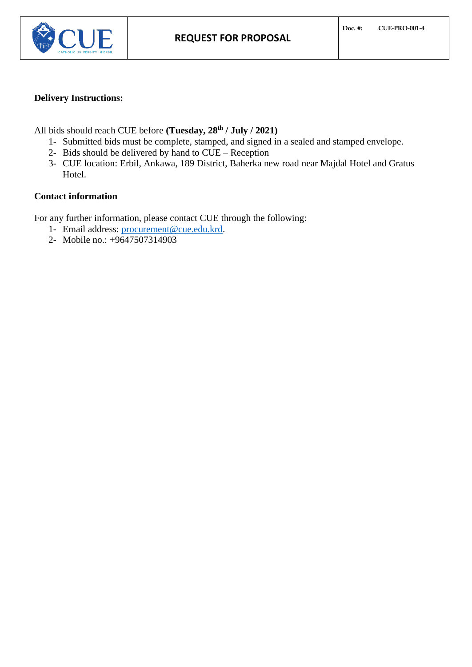

# **Delivery Instructions:**

All bids should reach CUE before **(Tuesday, 28th / July / 2021)**

- 1- Submitted bids must be complete, stamped, and signed in a sealed and stamped envelope.
- 2- Bids should be delivered by hand to CUE Reception
- 3- CUE location: Erbil, Ankawa, 189 District, Baherka new road near Majdal Hotel and Gratus Hotel.

# **Contact information**

For any further information, please contact CUE through the following:

- 1- Email address: [procurement@cue.edu.krd.](mailto:procurement@cue.edu.krd)
- 2- Mobile no.: +9647507314903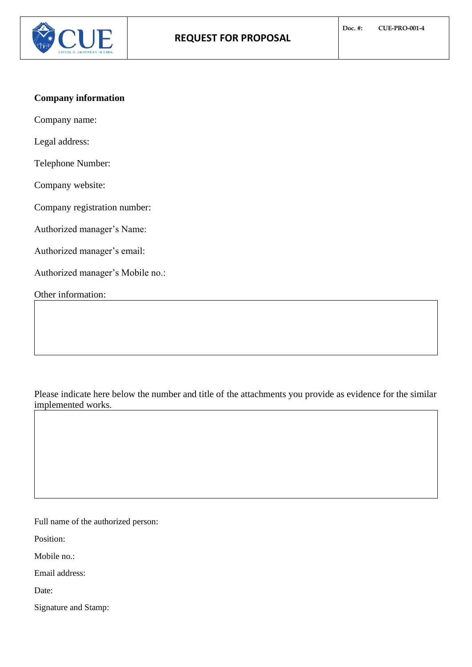

# **Company information**

Company name:

Legal address:

Telephone Number:

Company website:

Company registration number:

Authorized manager's Name:

Authorized manager's email:

Authorized manager's Mobile no.:

Other information:

Please indicate here below the number and title of the attachments you provide as evidence for the similar implemented works.

Full name of the authorized person:

Position:

Mobile no.:

Email address:

Date:

Signature and Stamp: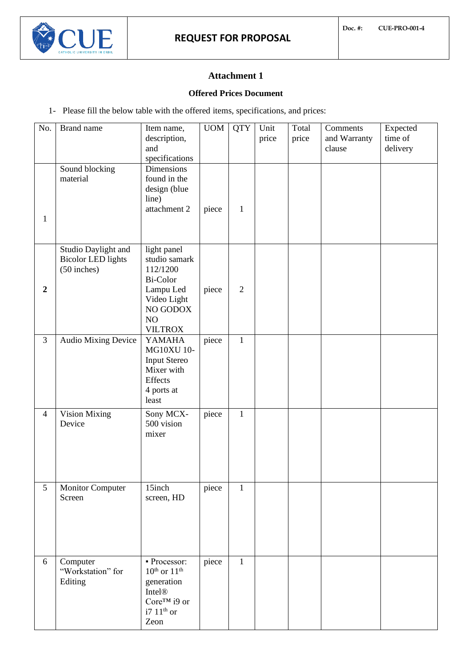# **Attachment 1**

# **Offered Prices Document**

1- Please fill the below table with the offered items, specifications, and prices:

| No.            | Brand name<br>Sound blocking                                      | Item name,<br>description,<br>and<br>specifications<br>Dimensions                                                    | <b>UOM</b> | <b>QTY</b>     | Unit<br>price | Total<br>price | Comments<br>and Warranty<br>clause | Expected<br>time of<br>delivery |
|----------------|-------------------------------------------------------------------|----------------------------------------------------------------------------------------------------------------------|------------|----------------|---------------|----------------|------------------------------------|---------------------------------|
| $\mathbf{1}$   | material                                                          | found in the<br>design (blue<br>line)<br>attachment 2                                                                | piece      | $\mathbf{1}$   |               |                |                                    |                                 |
| $\overline{2}$ | Studio Daylight and<br><b>Bicolor LED lights</b><br>$(50$ inches) | light panel<br>studio samark<br>112/1200<br>Bi-Color<br>Lampu Led<br>Video Light<br>NO GODOX<br>NO<br><b>VILTROX</b> | piece      | $\overline{2}$ |               |                |                                    |                                 |
| $\mathfrak{Z}$ | Audio Mixing Device                                               | YAMAHA<br><b>MG10XU 10-</b><br><b>Input Stereo</b><br>Mixer with<br>Effects<br>4 ports at<br>least                   | piece      | $\mathbf{1}$   |               |                |                                    |                                 |
| $\overline{4}$ | Vision Mixing<br>Device                                           | Sony MCX-<br>500 vision<br>mixer                                                                                     | piece      | $\mathbf{1}$   |               |                |                                    |                                 |
| 5              | <b>Monitor Computer</b><br>Screen                                 | 15inch<br>screen, HD                                                                                                 | piece      | $\mathbf{1}$   |               |                |                                    |                                 |
| 6              | Computer<br>"Workstation" for<br>Editing                          | - Processor:<br>$10^{th}$ or $11^{th}$<br>generation<br>Intel®<br>Core™ i9 or<br>$i7~11$ <sup>th</sup> or<br>Zeon    | piece      | $\mathbf{1}$   |               |                |                                    |                                 |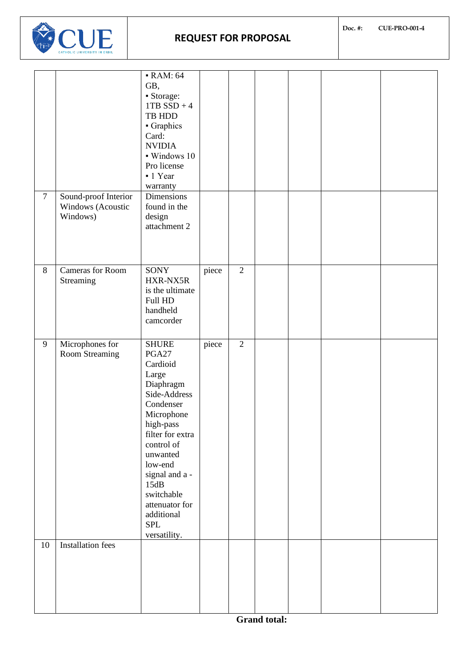

| $\tau$ | Sound-proof Interior<br>Windows (Acoustic<br>Windows) | <b>- RAM: 64</b><br>GB,<br>Storage:<br>$1TB$ SSD + 4<br>TB HDD<br>• Graphics<br>Card:<br><b>NVIDIA</b><br>· Windows 10<br>Pro license<br>- 1 Year<br>warranty<br>Dimensions<br>found in the<br>design<br>attachment 2                                                          |       |                |  |  |
|--------|-------------------------------------------------------|--------------------------------------------------------------------------------------------------------------------------------------------------------------------------------------------------------------------------------------------------------------------------------|-------|----------------|--|--|
|        |                                                       |                                                                                                                                                                                                                                                                                |       |                |  |  |
| 8      | <b>Cameras</b> for Room<br>Streaming                  | SONY<br>HXR-NX5R<br>is the ultimate<br>Full HD<br>handheld<br>camcorder                                                                                                                                                                                                        | piece | $\overline{2}$ |  |  |
| 9      | Microphones for<br>Room Streaming                     | <b>SHURE</b><br>PGA27<br>Cardioid<br>Large<br>Diaphragm<br>Side-Address<br>Condenser<br>Microphone<br>high-pass<br>filter for extra<br>control of<br>unwanted<br>low-end<br>signal and a -<br>15dB<br>switchable<br>attenuator for<br>additional<br><b>SPL</b><br>versatility. | piece | $\overline{2}$ |  |  |
| 10     | <b>Installation</b> fees                              |                                                                                                                                                                                                                                                                                |       |                |  |  |
|        |                                                       |                                                                                                                                                                                                                                                                                |       |                |  |  |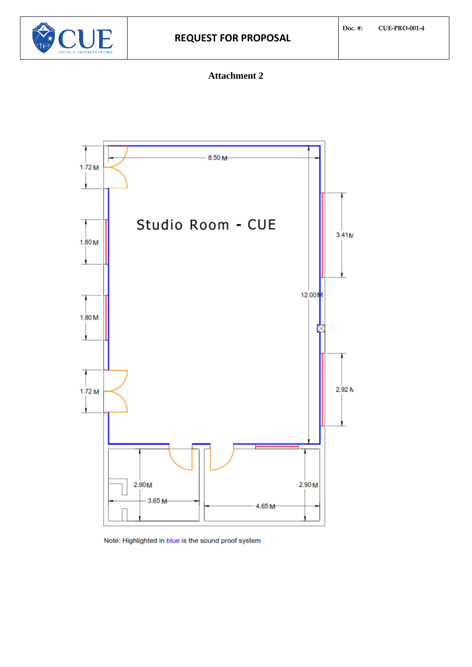

# **Attachment 2**



Note: Highlighted in blue is the sound proof system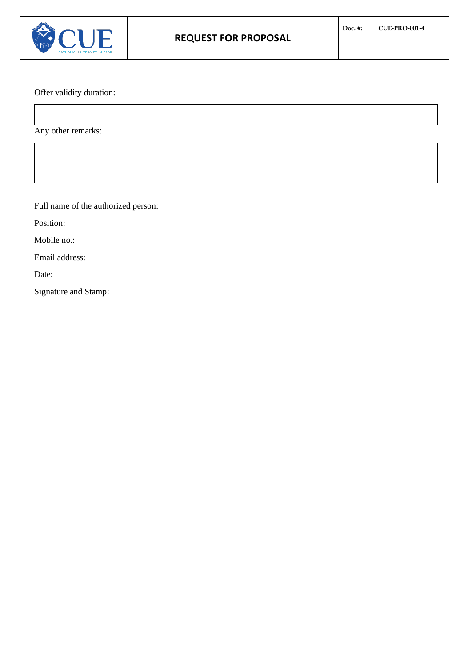

Offer validity duration:

Any other remarks:

Full name of the authorized person:

Position:

Mobile no.:

Email address:

Date:

Signature and Stamp: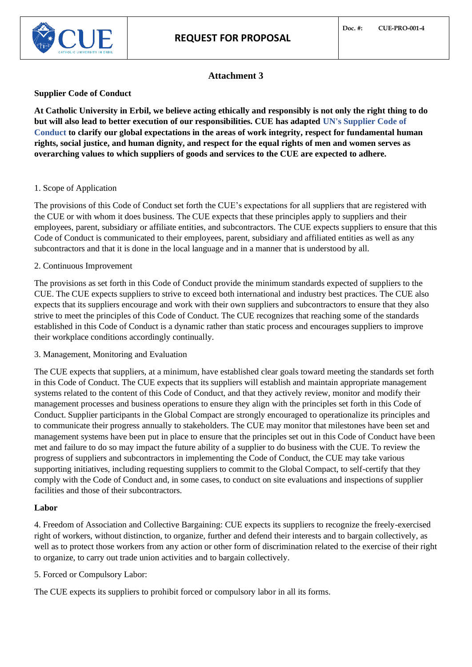

# **Attachment 3**

### **Supplier Code of Conduct**

**At Catholic University in Erbil, we believe acting ethically and responsibly is not only the right thing to do but will also lead to better execution of our responsibilities. CUE has adapted UN's Supplier Code of Conduct to clarify our global expectations in the areas of work integrity, respect for fundamental human rights, social justice, and human dignity, and respect for the equal rights of men and women serves as overarching values to which suppliers of goods and services to the CUE are expected to adhere.** 

#### 1. Scope of Application

The provisions of this Code of Conduct set forth the CUE's expectations for all suppliers that are registered with the CUE or with whom it does business. The CUE expects that these principles apply to suppliers and their employees, parent, subsidiary or affiliate entities, and subcontractors. The CUE expects suppliers to ensure that this Code of Conduct is communicated to their employees, parent, subsidiary and affiliated entities as well as any subcontractors and that it is done in the local language and in a manner that is understood by all.

#### 2. Continuous Improvement

The provisions as set forth in this Code of Conduct provide the minimum standards expected of suppliers to the CUE. The CUE expects suppliers to strive to exceed both international and industry best practices. The CUE also expects that its suppliers encourage and work with their own suppliers and subcontractors to ensure that they also strive to meet the principles of this Code of Conduct. The CUE recognizes that reaching some of the standards established in this Code of Conduct is a dynamic rather than static process and encourages suppliers to improve their workplace conditions accordingly continually.

3. Management, Monitoring and Evaluation

The CUE expects that suppliers, at a minimum, have established clear goals toward meeting the standards set forth in this Code of Conduct. The CUE expects that its suppliers will establish and maintain appropriate management systems related to the content of this Code of Conduct, and that they actively review, monitor and modify their management processes and business operations to ensure they align with the principles set forth in this Code of Conduct. Supplier participants in the Global Compact are strongly encouraged to operationalize its principles and to communicate their progress annually to stakeholders. The CUE may monitor that milestones have been set and management systems have been put in place to ensure that the principles set out in this Code of Conduct have been met and failure to do so may impact the future ability of a supplier to do business with the CUE. To review the progress of suppliers and subcontractors in implementing the Code of Conduct, the CUE may take various supporting initiatives, including requesting suppliers to commit to the Global Compact, to self-certify that they comply with the Code of Conduct and, in some cases, to conduct on site evaluations and inspections of supplier facilities and those of their subcontractors.

#### **Labor**

4. Freedom of Association and Collective Bargaining: CUE expects its suppliers to recognize the freely-exercised right of workers, without distinction, to organize, further and defend their interests and to bargain collectively, as well as to protect those workers from any action or other form of discrimination related to the exercise of their right to organize, to carry out trade union activities and to bargain collectively.

5. Forced or Compulsory Labor:

The CUE expects its suppliers to prohibit forced or compulsory labor in all its forms.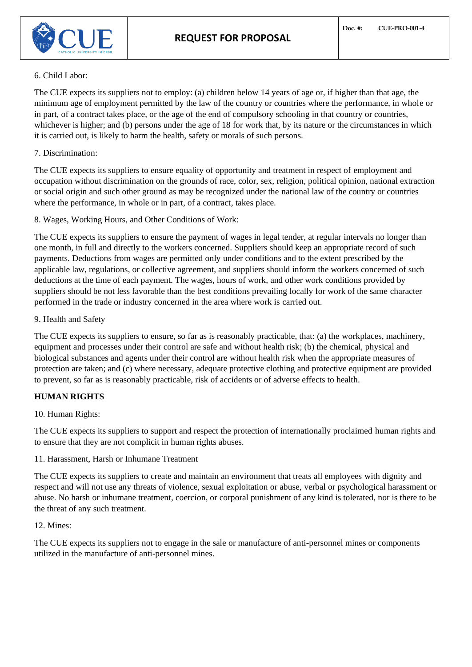

#### 6. Child Labor:

The CUE expects its suppliers not to employ: (a) children below 14 years of age or, if higher than that age, the minimum age of employment permitted by the law of the country or countries where the performance, in whole or in part, of a contract takes place, or the age of the end of compulsory schooling in that country or countries, whichever is higher; and (b) persons under the age of 18 for work that, by its nature or the circumstances in which it is carried out, is likely to harm the health, safety or morals of such persons.

#### 7. Discrimination:

The CUE expects its suppliers to ensure equality of opportunity and treatment in respect of employment and occupation without discrimination on the grounds of race, color, sex, religion, political opinion, national extraction or social origin and such other ground as may be recognized under the national law of the country or countries where the performance, in whole or in part, of a contract, takes place.

8. Wages, Working Hours, and Other Conditions of Work:

The CUE expects its suppliers to ensure the payment of wages in legal tender, at regular intervals no longer than one month, in full and directly to the workers concerned. Suppliers should keep an appropriate record of such payments. Deductions from wages are permitted only under conditions and to the extent prescribed by the applicable law, regulations, or collective agreement, and suppliers should inform the workers concerned of such deductions at the time of each payment. The wages, hours of work, and other work conditions provided by suppliers should be not less favorable than the best conditions prevailing locally for work of the same character performed in the trade or industry concerned in the area where work is carried out.

#### 9. Health and Safety

The CUE expects its suppliers to ensure, so far as is reasonably practicable, that: (a) the workplaces, machinery, equipment and processes under their control are safe and without health risk; (b) the chemical, physical and biological substances and agents under their control are without health risk when the appropriate measures of protection are taken; and (c) where necessary, adequate protective clothing and protective equipment are provided to prevent, so far as is reasonably practicable, risk of accidents or of adverse effects to health.

# **HUMAN RIGHTS**

# 10. Human Rights:

The CUE expects its suppliers to support and respect the protection of internationally proclaimed human rights and to ensure that they are not complicit in human rights abuses.

11. Harassment, Harsh or Inhumane Treatment

The CUE expects its suppliers to create and maintain an environment that treats all employees with dignity and respect and will not use any threats of violence, sexual exploitation or abuse, verbal or psychological harassment or abuse. No harsh or inhumane treatment, coercion, or corporal punishment of any kind is tolerated, nor is there to be the threat of any such treatment.

#### 12. Mines:

The CUE expects its suppliers not to engage in the sale or manufacture of anti-personnel mines or components utilized in the manufacture of anti-personnel mines.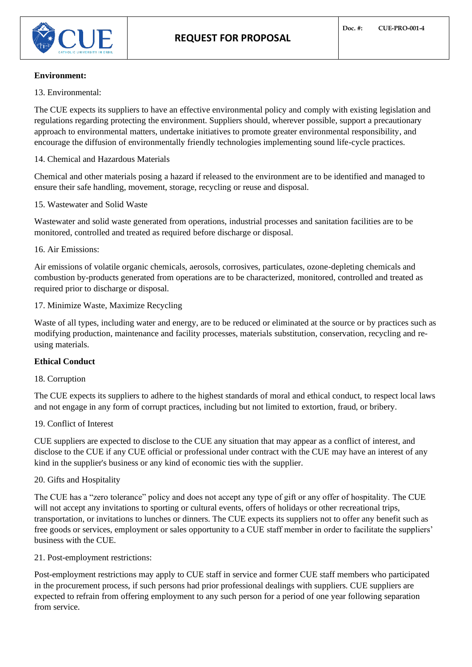#### **Environment:**

13. Environmental:

The CUE expects its suppliers to have an effective environmental policy and comply with existing legislation and regulations regarding protecting the environment. Suppliers should, wherever possible, support a precautionary approach to environmental matters, undertake initiatives to promote greater environmental responsibility, and encourage the diffusion of environmentally friendly technologies implementing sound life-cycle practices.

#### 14. Chemical and Hazardous Materials

Chemical and other materials posing a hazard if released to the environment are to be identified and managed to ensure their safe handling, movement, storage, recycling or reuse and disposal.

#### 15. Wastewater and Solid Waste

Wastewater and solid waste generated from operations, industrial processes and sanitation facilities are to be monitored, controlled and treated as required before discharge or disposal.

#### 16. Air Emissions:

Air emissions of volatile organic chemicals, aerosols, corrosives, particulates, ozone-depleting chemicals and combustion by-products generated from operations are to be characterized, monitored, controlled and treated as required prior to discharge or disposal.

#### 17. Minimize Waste, Maximize Recycling

Waste of all types, including water and energy, are to be reduced or eliminated at the source or by practices such as modifying production, maintenance and facility processes, materials substitution, conservation, recycling and reusing materials.

# **Ethical Conduct**

# 18. Corruption

The CUE expects its suppliers to adhere to the highest standards of moral and ethical conduct, to respect local laws and not engage in any form of corrupt practices, including but not limited to extortion, fraud, or bribery.

# 19. Conflict of Interest

CUE suppliers are expected to disclose to the CUE any situation that may appear as a conflict of interest, and disclose to the CUE if any CUE official or professional under contract with the CUE may have an interest of any kind in the supplier's business or any kind of economic ties with the supplier.

#### 20. Gifts and Hospitality

The CUE has a "zero tolerance" policy and does not accept any type of gift or any offer of hospitality. The CUE will not accept any invitations to sporting or cultural events, offers of holidays or other recreational trips, transportation, or invitations to lunches or dinners. The CUE expects its suppliers not to offer any benefit such as free goods or services, employment or sales opportunity to a CUE staff member in order to facilitate the suppliers' business with the CUE.

#### 21. Post-employment restrictions:

Post-employment restrictions may apply to CUE staff in service and former CUE staff members who participated in the procurement process, if such persons had prior professional dealings with suppliers. CUE suppliers are expected to refrain from offering employment to any such person for a period of one year following separation from service.